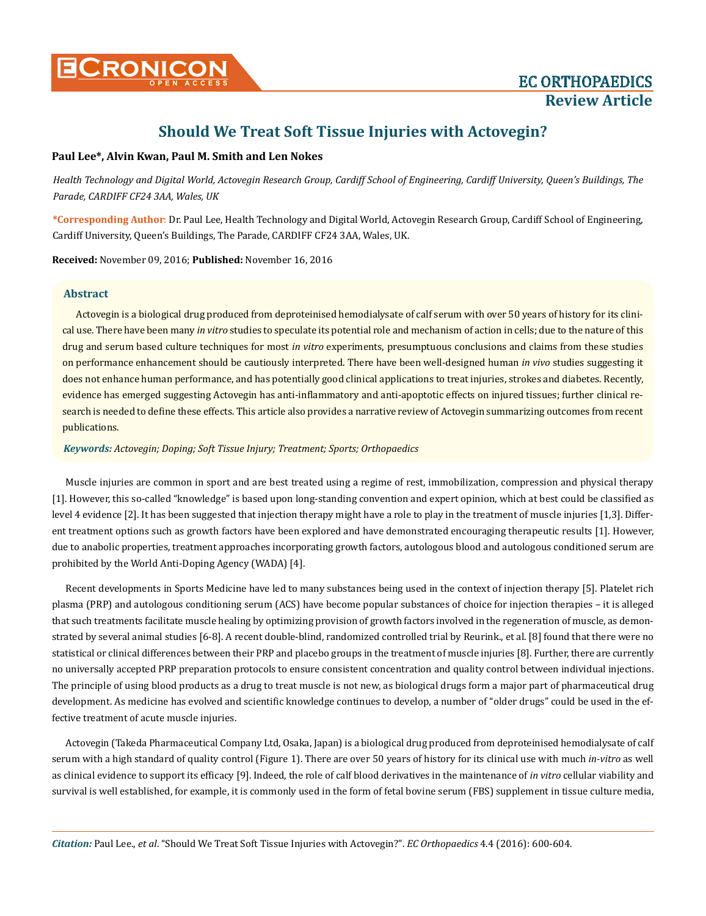

# **Should We Treat Soft Tissue Injuries with Actovegin?**

### **Paul Lee\*, Alvin Kwan, Paul M. Smith and Len Nokes**

*Health Technology and Digital World, Actovegin Research Group, Cardiff School of Engineering, Cardiff University, Queen's Buildings, The Parade, CARDIFF CF24 3AA, Wales, UK*

**\*Corresponding Author**: Dr. Paul Lee, Health Technology and Digital World, Actovegin Research Group, Cardiff School of Engineering, Cardiff University, Queen's Buildings, The Parade, CARDIFF CF24 3AA, Wales, UK.

**Received:** November 09, 2016; **Published:** November 16, 2016

#### **Abstract**

Actovegin is a biological drug produced from deproteinised hemodialysate of calf serum with over 50 years of history for its clinical use. There have been many *in vitro* studies to speculate its potential role and mechanism of action in cells; due to the nature of this drug and serum based culture techniques for most *in vitro* experiments, presumptuous conclusions and claims from these studies on performance enhancement should be cautiously interpreted. There have been well-designed human *in vivo* studies suggesting it does not enhance human performance, and has potentially good clinical applications to treat injuries, strokes and diabetes. Recently, evidence has emerged suggesting Actovegin has anti-inflammatory and anti-apoptotic effects on injured tissues; further clinical research is needed to define these effects. This article also provides a narrative review of Actovegin summarizing outcomes from recent publications.

*Keywords: Actovegin; Doping; Soft Tissue Injury; Treatment; Sports; Orthopaedics*

Muscle injuries are common in sport and are best treated using a regime of rest, immobilization, compression and physical therapy [1]. However, this so-called "knowledge" is based upon long-standing convention and expert opinion, which at best could be classified as level 4 evidence [2]. It has been suggested that injection therapy might have a role to play in the treatment of muscle injuries [1,3]. Different treatment options such as growth factors have been explored and have demonstrated encouraging therapeutic results [1]. However, due to anabolic properties, treatment approaches incorporating growth factors, autologous blood and autologous conditioned serum are prohibited by the World Anti-Doping Agency (WADA) [4].

Recent developments in Sports Medicine have led to many substances being used in the context of injection therapy [5]. Platelet rich plasma (PRP) and autologous conditioning serum (ACS) have become popular substances of choice for injection therapies – it is alleged that such treatments facilitate muscle healing by optimizing provision of growth factors involved in the regeneration of muscle, as demonstrated by several animal studies [6-8]. A recent double-blind, randomized controlled trial by Reurink., et al. [8] found that there were no statistical or clinical differences between their PRP and placebo groups in the treatment of muscle injuries [8]. Further, there are currently no universally accepted PRP preparation protocols to ensure consistent concentration and quality control between individual injections. The principle of using blood products as a drug to treat muscle is not new, as biological drugs form a major part of pharmaceutical drug development. As medicine has evolved and scientific knowledge continues to develop, a number of "older drugs" could be used in the effective treatment of acute muscle injuries.

Actovegin (Takeda Pharmaceutical Company Ltd, Osaka, Japan) is a biological drug produced from deproteinised hemodialysate of calf serum with a high standard of quality control (Figure 1). There are over 50 years of history for its clinical use with much *in-vitro* as well as clinical evidence to support its efficacy [9]. Indeed, the role of calf blood derivatives in the maintenance of *in vitro* cellular viability and survival is well established, for example, it is commonly used in the form of fetal bovine serum (FBS) supplement in tissue culture media,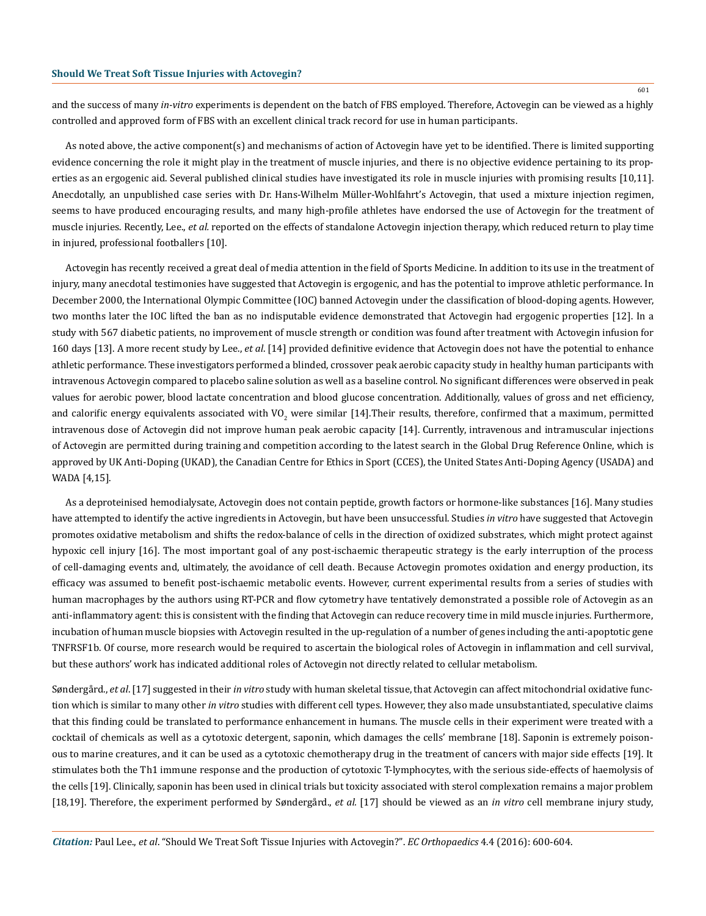and the success of many *in-vitro* experiments is dependent on the batch of FBS employed. Therefore, Actovegin can be viewed as a highly controlled and approved form of FBS with an excellent clinical track record for use in human participants.

As noted above, the active component(s) and mechanisms of action of Actovegin have yet to be identified. There is limited supporting evidence concerning the role it might play in the treatment of muscle injuries, and there is no objective evidence pertaining to its properties as an ergogenic aid. Several published clinical studies have investigated its role in muscle injuries with promising results [10,11]. Anecdotally, an unpublished case series with Dr. Hans-Wilhelm Müller-Wohlfahrt's Actovegin, that used a mixture injection regimen, seems to have produced encouraging results, and many high-profile athletes have endorsed the use of Actovegin for the treatment of muscle injuries. Recently, Lee., *et al.* reported on the effects of standalone Actovegin injection therapy, which reduced return to play time in injured, professional footballers [10].

Actovegin has recently received a great deal of media attention in the field of Sports Medicine. In addition to its use in the treatment of injury, many anecdotal testimonies have suggested that Actovegin is ergogenic, and has the potential to improve athletic performance. In December 2000, the International Olympic Committee (IOC) banned Actovegin under the classification of blood-doping agents. However, two months later the IOC lifted the ban as no indisputable evidence demonstrated that Actovegin had ergogenic properties [12]. In a study with 567 diabetic patients, no improvement of muscle strength or condition was found after treatment with Actovegin infusion for 160 days [13]. A more recent study by Lee., *et al*. [14] provided definitive evidence that Actovegin does not have the potential to enhance athletic performance. These investigators performed a blinded, crossover peak aerobic capacity study in healthy human participants with intravenous Actovegin compared to placebo saline solution as well as a baseline control. No significant differences were observed in peak values for aerobic power, blood lactate concentration and blood glucose concentration. Additionally, values of gross and net efficiency, and calorific energy equivalents associated with VO<sub>2</sub> were similar [14].Their results, therefore, confirmed that a maximum, permitted intravenous dose of Actovegin did not improve human peak aerobic capacity [14]. Currently, intravenous and intramuscular injections of Actovegin are permitted during training and competition according to the latest search in the Global Drug Reference Online, which is approved by UK Anti-Doping (UKAD), the Canadian Centre for Ethics in Sport (CCES), the United States Anti-Doping Agency (USADA) and WADA [4,15].

As a deproteinised hemodialysate, Actovegin does not contain peptide, growth factors or hormone-like substances [16]. Many studies have attempted to identify the active ingredients in Actovegin, but have been unsuccessful. Studies *in vitro* have suggested that Actovegin promotes oxidative metabolism and shifts the redox-balance of cells in the direction of oxidized substrates, which might protect against hypoxic cell injury [16]. The most important goal of any post-ischaemic therapeutic strategy is the early interruption of the process of cell-damaging events and, ultimately, the avoidance of cell death. Because Actovegin promotes oxidation and energy production, its efficacy was assumed to benefit post-ischaemic metabolic events. However, current experimental results from a series of studies with human macrophages by the authors using RT-PCR and flow cytometry have tentatively demonstrated a possible role of Actovegin as an anti-inflammatory agent: this is consistent with the finding that Actovegin can reduce recovery time in mild muscle injuries. Furthermore, incubation of human muscle biopsies with Actovegin resulted in the up-regulation of a number of genes including the anti-apoptotic gene TNFRSF1b. Of course, more research would be required to ascertain the biological roles of Actovegin in inflammation and cell survival, but these authors' work has indicated additional roles of Actovegin not directly related to cellular metabolism.

Søndergård., *et al*. [17] suggested in their *in vitro* study with human skeletal tissue, that Actovegin can affect mitochondrial oxidative function which is similar to many other *in vitro* studies with different cell types. However, they also made unsubstantiated, speculative claims that this finding could be translated to performance enhancement in humans. The muscle cells in their experiment were treated with a cocktail of chemicals as well as a cytotoxic detergent, saponin, which damages the cells' membrane [18]. Saponin is extremely poisonous to marine creatures, and it can be used as a cytotoxic chemotherapy drug in the treatment of cancers with major side effects [19]. It stimulates both the Th1 immune response and the production of cytotoxic T-lymphocytes, with the serious side-effects of haemolysis of the cells [19]. Clinically, saponin has been used in clinical trials but toxicity associated with sterol complexation remains a major problem [18,19]. Therefore, the experiment performed by Søndergård., *et al.* [17] should be viewed as an *in vitro* cell membrane injury study,

601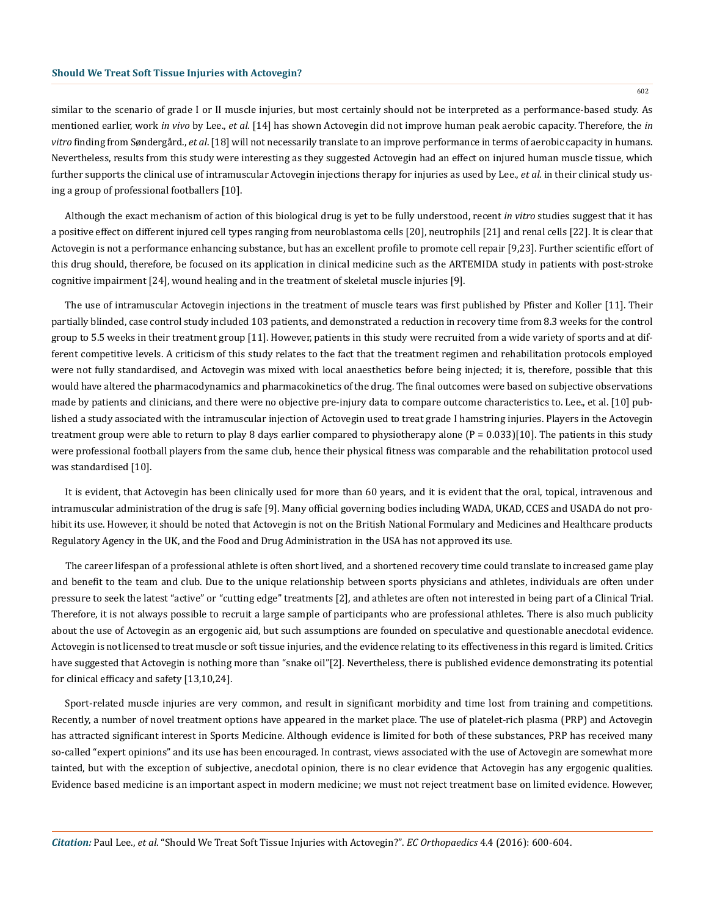602

similar to the scenario of grade I or II muscle injuries, but most certainly should not be interpreted as a performance-based study. As mentioned earlier, work *in vivo* by Lee., *et al.* [14] has shown Actovegin did not improve human peak aerobic capacity. Therefore, the *in vitro* finding from Søndergård., *et al*. [18] will not necessarily translate to an improve performance in terms of aerobic capacity in humans. Nevertheless, results from this study were interesting as they suggested Actovegin had an effect on injured human muscle tissue, which further supports the clinical use of intramuscular Actovegin injections therapy for injuries as used by Lee., *et al*. in their clinical study using a group of professional footballers [10].

Although the exact mechanism of action of this biological drug is yet to be fully understood, recent *in vitro* studies suggest that it has a positive effect on different injured cell types ranging from neuroblastoma cells [20], neutrophils [21] and renal cells [22]. It is clear that Actovegin is not a performance enhancing substance, but has an excellent profile to promote cell repair [9,23]. Further scientific effort of this drug should, therefore, be focused on its application in clinical medicine such as the ARTEMIDA study in patients with post-stroke cognitive impairment [24], wound healing and in the treatment of skeletal muscle injuries [9].

The use of intramuscular Actovegin injections in the treatment of muscle tears was first published by Pfister and Koller [11]. Their partially blinded, case control study included 103 patients, and demonstrated a reduction in recovery time from 8.3 weeks for the control group to 5.5 weeks in their treatment group [11]. However, patients in this study were recruited from a wide variety of sports and at different competitive levels. A criticism of this study relates to the fact that the treatment regimen and rehabilitation protocols employed were not fully standardised, and Actovegin was mixed with local anaesthetics before being injected; it is, therefore, possible that this would have altered the pharmacodynamics and pharmacokinetics of the drug. The final outcomes were based on subjective observations made by patients and clinicians, and there were no objective pre-injury data to compare outcome characteristics to. Lee., et al. [10] published a study associated with the intramuscular injection of Actovegin used to treat grade I hamstring injuries. Players in the Actovegin treatment group were able to return to play 8 days earlier compared to physiotherapy alone  $(P = 0.033)[10]$ . The patients in this study were professional football players from the same club, hence their physical fitness was comparable and the rehabilitation protocol used was standardised [10].

It is evident, that Actovegin has been clinically used for more than 60 years, and it is evident that the oral, topical, intravenous and intramuscular administration of the drug is safe [9]. Many official governing bodies including WADA, UKAD, CCES and USADA do not prohibit its use. However, it should be noted that Actovegin is not on the British National Formulary and Medicines and Healthcare products Regulatory Agency in the UK, and the Food and Drug Administration in the USA has not approved its use.

The career lifespan of a professional athlete is often short lived, and a shortened recovery time could translate to increased game play and benefit to the team and club. Due to the unique relationship between sports physicians and athletes, individuals are often under pressure to seek the latest "active" or "cutting edge" treatments [2], and athletes are often not interested in being part of a Clinical Trial. Therefore, it is not always possible to recruit a large sample of participants who are professional athletes. There is also much publicity about the use of Actovegin as an ergogenic aid, but such assumptions are founded on speculative and questionable anecdotal evidence. Actovegin is not licensed to treat muscle or soft tissue injuries, and the evidence relating to its effectiveness in this regard is limited. Critics have suggested that Actovegin is nothing more than "snake oil"[2]. Nevertheless, there is published evidence demonstrating its potential for clinical efficacy and safety [13,10,24].

Sport-related muscle injuries are very common, and result in significant morbidity and time lost from training and competitions. Recently, a number of novel treatment options have appeared in the market place. The use of platelet-rich plasma (PRP) and Actovegin has attracted significant interest in Sports Medicine. Although evidence is limited for both of these substances, PRP has received many so-called "expert opinions" and its use has been encouraged. In contrast, views associated with the use of Actovegin are somewhat more tainted, but with the exception of subjective, anecdotal opinion, there is no clear evidence that Actovegin has any ergogenic qualities. Evidence based medicine is an important aspect in modern medicine; we must not reject treatment base on limited evidence. However,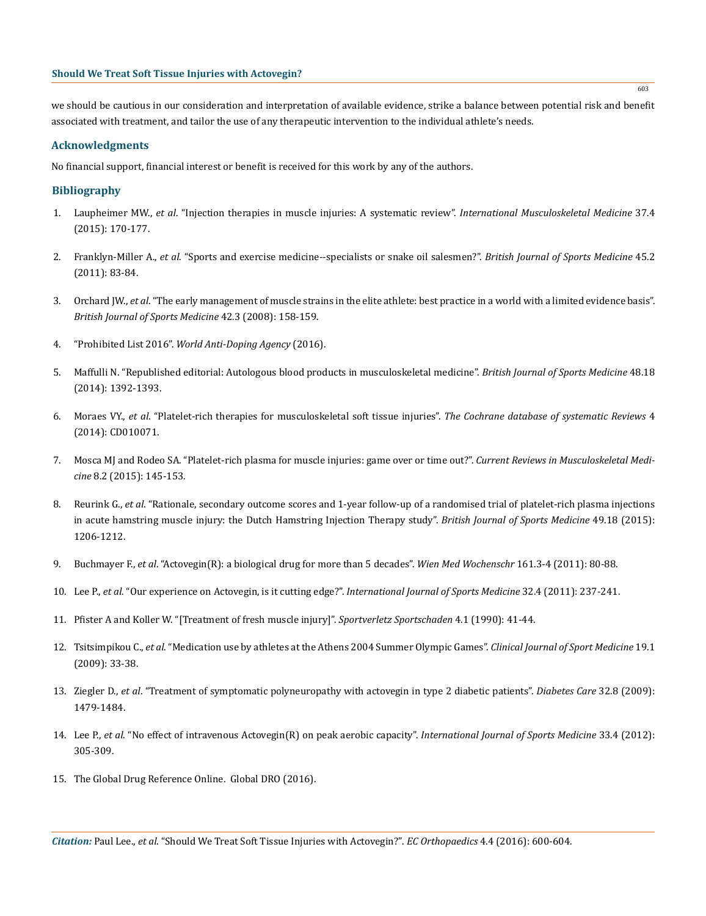we should be cautious in our consideration and interpretation of available evidence, strike a balance between potential risk and benefit associated with treatment, and tailor the use of any therapeutic intervention to the individual athlete's needs.

## **Acknowledgments**

No financial support, financial interest or benefit is received for this work by any of the authors.

## **Bibliography**

- 1. Laupheimer MW., *et al*[. "Injection therapies in muscle injuries: A systematic review".](http://www.tandfonline.com/doi/abs/10.1179/1753614615Z.000000000114?journalCode=yimm20) *International Musculoskeletal Medicine* 37.4 [\(2015\): 170-177.](http://www.tandfonline.com/doi/abs/10.1179/1753614615Z.000000000114?journalCode=yimm20)
- 2. Franklyn-Miller A., *et al*[. "Sports and exercise medicine--specialists or snake oil salesmen?".](https://www.ncbi.nlm.nih.gov/labs/articles/19948530/) *British Journal of Sports Medicine* 45.2 [\(2011\): 83-84.](https://www.ncbi.nlm.nih.gov/labs/articles/19948530/)
- 3. Orchard JW., *et al*[. "The early management of muscle strains in the elite athlete: best practice in a world with a limited evidence basis".](https://www.ncbi.nlm.nih.gov/pubmed/18334622) *[British Journal of Sports Medicine](https://www.ncbi.nlm.nih.gov/pubmed/18334622)* 42.3 (2008): 158-159.
- 4. "Prohibited List 2016". *[World Anti-Doping Agency](https://www.wada-ama.org/en/what-we-do/prohibited-list)* (2016).
- 5. [Maffulli N. "Republished editorial: Autologous blood products in musculoskeletal medicine".](http://bjsm.bmj.com/content/48/18/1392.extract) *British Journal of Sports Medicine* 48.18 [\(2014\): 1392-1393.](http://bjsm.bmj.com/content/48/18/1392.extract)
- 6. Moraes VY., *et al*[. "Platelet-rich therapies for musculoskeletal soft tissue injuries".](https://www.ncbi.nlm.nih.gov/pubmed/24363098) *The Cochrane database of systematic Reviews* 4 [\(2014\): CD010071.](https://www.ncbi.nlm.nih.gov/pubmed/24363098)
- 7. [Mosca MJ and Rodeo SA. "Platelet-rich plasma for muscle injuries: game over or time out?".](https://www.ncbi.nlm.nih.gov/pubmed/25715983) *Current Reviews in Musculoskeletal Medicine* [8.2 \(2015\): 145-153.](https://www.ncbi.nlm.nih.gov/pubmed/25715983)
- 8. Reurink G., *et al*[. "Rationale, secondary outcome scores and 1-year follow-up of a randomised trial of platelet-rich plasma injections](https://www.ncbi.nlm.nih.gov/pubmed/25940636) [in acute hamstring muscle injury: the Dutch Hamstring Injection Therapy study".](https://www.ncbi.nlm.nih.gov/pubmed/25940636) *British Journal of Sports Medicine* 49.18 (2015): [1206-1212.](https://www.ncbi.nlm.nih.gov/pubmed/25940636)
- 9. Buchmayer F., *et al*[. "Actovegin\(R\): a biological drug for more than 5 decades".](https://www.ncbi.nlm.nih.gov/pubmed/21404144) *Wien Med Wochenschr* 161.3-4 (2011): 80-88.
- 10. Lee P., *et al*[. "Our experience on Actovegin, is it cutting edge?".](https://www.ncbi.nlm.nih.gov/pubmed/21271496) *International Journal of Sports Medicine* 32.4 (2011): 237-241.
- 11. [Pfister A and Koller W. "\[Treatment of fresh muscle injury\]".](https://www.ncbi.nlm.nih.gov/pubmed/2193424) *Sportverletz Sportschaden* 4.1 (1990): 41-44.
- 12. Tsitsimpikou C., *et al*[. "Medication use by athletes at the Athens 2004 Summer Olympic Games".](https://www.ncbi.nlm.nih.gov/pubmed/19124981) *Clinical Journal of Sport Medicine* 19.1 [\(2009\): 33-38.](https://www.ncbi.nlm.nih.gov/pubmed/19124981)
- 13. Ziegler D., *et al*[. "Treatment of symptomatic polyneuropathy with actovegin in type 2 diabetic patients".](https://www.ncbi.nlm.nih.gov/pubmed/19470838) *Diabetes Care* 32.8 (2009): [1479-1484.](https://www.ncbi.nlm.nih.gov/pubmed/19470838)
- 14. Lee P., *et al*[. "No effect of intravenous Actovegin\(R\) on peak aerobic capacity".](https://www.ncbi.nlm.nih.gov/pubmed/22318562) *International Journal of Sports Medicine* 33.4 (2012): [305-309.](https://www.ncbi.nlm.nih.gov/pubmed/22318562)
- 15. [The Global Drug Reference Online. Global DRO \(2016\).](http://www.globaldro.com/Home)

603